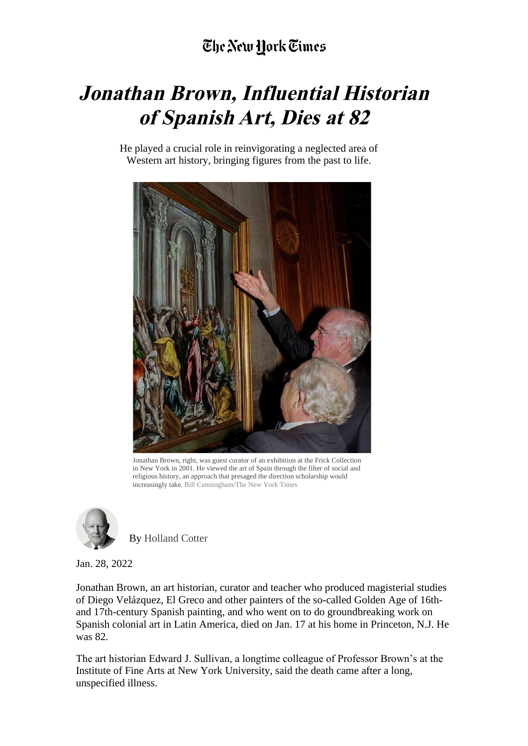## **Jonathan Brown, Influential Historian of Spanish Art, Dies at 82**

He played a crucial role in reinvigorating a neglected area of Western art history, bringing figures from the past to life.



Jonathan Brown, right, was guest curator of an exhibition at the Frick Collection in New York in 2001. He viewed the art of Spain through the filter of social and religious history, an approach that presaged the direction scholarship would increasingly take. Bill Cunningham/The New York Times



By Holland Cotter

Jan. 28, 2022

Jonathan Brown, an art historian, curator and teacher who produced magisterial studies of Diego Velázquez, El Greco and other painters of the so-called Golden Age of 16thand 17th-century Spanish painting, and who went on to do groundbreaking work on Spanish colonial art in Latin America, died on Jan. 17 at his home in Princeton, N.J. He was 82.

The art historian Edward J. Sullivan, a longtime colleague of Professor Brown's at the Institute of Fine Arts at New York University, said the death came after a long, unspecified illness.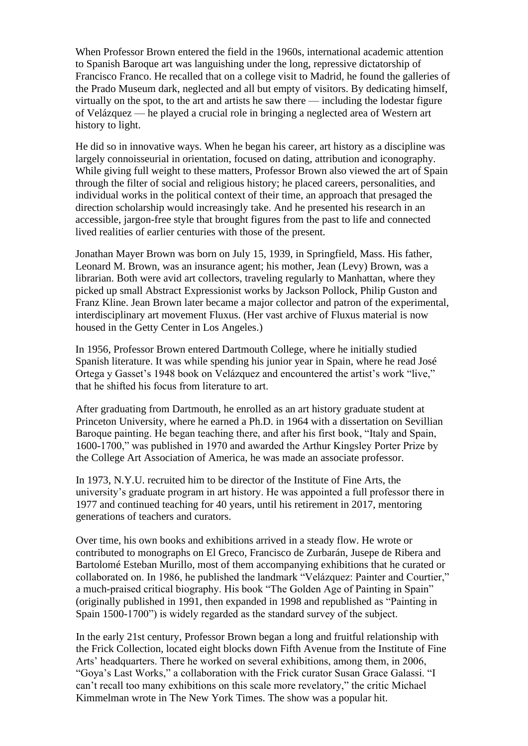When Professor Brown entered the field in the 1960s, international academic attention to Spanish Baroque art was languishing under the long, repressive dictatorship of Francisco Franco. He recalled that on a college visit to Madrid, he found the galleries of the Prado Museum dark, neglected and all but empty of visitors. By dedicating himself, virtually on the spot, to the art and artists he saw there — including the lodestar figure of Velázquez — he played a crucial role in bringing a neglected area of Western art history to light.

He did so in innovative ways. When he began his career, art history as a discipline was largely connoisseurial in orientation, focused on dating, attribution and iconography. While giving full weight to these matters, Professor Brown also viewed the art of Spain through the filter of social and religious history; he placed careers, personalities, and individual works in the political context of their time, an approach that presaged the direction scholarship would increasingly take. And he presented his research in an accessible, jargon-free style that brought figures from the past to life and connected lived realities of earlier centuries with those of the present.

Jonathan Mayer Brown was born on July 15, 1939, in Springfield, Mass. His father, Leonard M. Brown, was an insurance agent; his mother, Jean (Levy) Brown, was a librarian. Both were avid art collectors, traveling regularly to Manhattan, where they picked up small Abstract Expressionist works by Jackson Pollock, Philip Guston and Franz Kline. Jean Brown later became a major collector and patron of the experimental, interdisciplinary art movement Fluxus. (Her vast archive of Fluxus material is now housed in the Getty Center in Los Angeles.)

In 1956, Professor Brown entered Dartmouth College, where he initially studied Spanish literature. It was while spending his junior year in Spain, where he read José Ortega y Gasset's 1948 book on Velázquez and encountered the artist's work "live," that he shifted his focus from literature to art.

After graduating from Dartmouth, he enrolled as an art history graduate student at Princeton University, where he earned a Ph.D. in 1964 with a dissertation on Sevillian Baroque painting. He began teaching there, and after his first book, "Italy and Spain, 1600-1700," was published in 1970 and awarded the Arthur Kingsley Porter Prize by the College Art Association of America, he was made an associate professor.

In 1973, N.Y.U. recruited him to be director of the Institute of Fine Arts, the university's graduate program in art history. He was appointed a full professor there in 1977 and continued teaching for 40 years, until his retirement in 2017, mentoring generations of teachers and curators.

Over time, his own books and exhibitions arrived in a steady flow. He wrote or contributed to monographs on El Greco, Francisco de Zurbarán, Jusepe de Ribera and Bartolomé Esteban Murillo, most of them accompanying exhibitions that he curated or collaborated on. In 1986, he published the landmark "Velázquez: Painter and Courtier," a much-praised critical biography. His book "The Golden Age of Painting in Spain" (originally published in 1991, then expanded in 1998 and republished as "Painting in Spain 1500-1700") is widely regarded as the standard survey of the subject.

In the early 21st century, Professor Brown began a long and fruitful relationship with the Frick Collection, located eight blocks down Fifth Avenue from the Institute of Fine Arts' headquarters. There he worked on several exhibitions, among them, in 2006, "Goya's Last Works," a collaboration with the Frick curator Susan Grace Galassi. "I can't recall too many exhibitions on this scale more revelatory," the critic Michael Kimmelman wrote in The New York Times. The show was a popular hit.